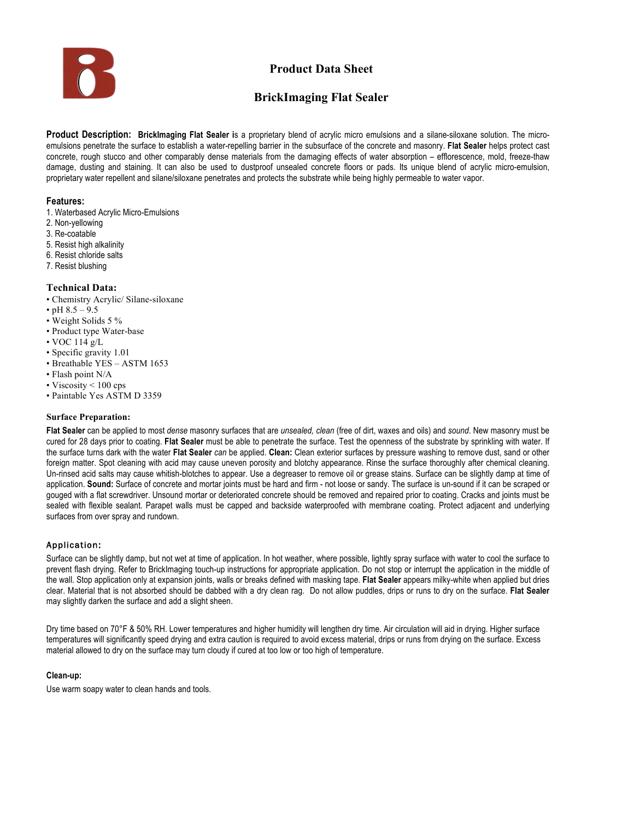

# **Product Data Sheet**

# **BrickImaging Flat Sealer**

**Product Description: BrickImaging Flat Sealer i**s a proprietary blend of acrylic micro emulsions and a silane-siloxane solution. The microemulsions penetrate the surface to establish a water-repelling barrier in the subsurface of the concrete and masonry. **Flat Sealer** helps protect cast concrete, rough stucco and other comparably dense materials from the damaging effects of water absorption – efflorescence, mold, freeze-thaw damage, dusting and staining. It can also be used to dustproof unsealed concrete floors or pads. Its unique blend of acrylic micro-emulsion, proprietary water repellent and silane/siloxane penetrates and protects the substrate while being highly permeable to water vapor.

### **Features:**

- 1. Waterbased Acrylic Micro-Emulsions
- 2. Non-yellowing
- 3. Re-coatable
- 5. Resist high alkalinity
- 6. Resist chloride salts
- 7. Resist blushing

## **Technical Data:**

- Chemistry Acrylic/ Silane-siloxane
- pH  $8.5 9.5$
- Weight Solids 5 %
- Product type Water-base
- VOC 114 g/L
- Specific gravity 1.01
- Breathable YES ASTM 1653
- Flash point N/A
- Viscosity < 100 cps
- Paintable Yes ASTM D 3359

### **Surface Preparation:**

**Flat Sealer** can be applied to most *dense* masonry surfaces that are *unsealed, clean* (free of dirt, waxes and oils) and *sound*. New masonry must be cured for 28 days prior to coating. **Flat Sealer** must be able to penetrate the surface. Test the openness of the substrate by sprinkling with water. If the surface turns dark with the water **Flat Sealer** *can* be applied. **Clean:** Clean exterior surfaces by pressure washing to remove dust, sand or other foreign matter. Spot cleaning with acid may cause uneven porosity and blotchy appearance. Rinse the surface thoroughly after chemical cleaning. Un-rinsed acid salts may cause whitish-blotches to appear. Use a degreaser to remove oil or grease stains. Surface can be slightly damp at time of application. **Sound:** Surface of concrete and mortar joints must be hard and firm - not loose or sandy. The surface is un-sound if it can be scraped or gouged with a flat screwdriver. Unsound mortar or deteriorated concrete should be removed and repaired prior to coating. Cracks and joints must be sealed with flexible sealant. Parapet walls must be capped and backside waterproofed with membrane coating. Protect adjacent and underlying surfaces from over spray and rundown.

# Application:

Surface can be slightly damp, but not wet at time of application. In hot weather, where possible, lightly spray surface with water to cool the surface to prevent flash drying. Refer to BrickImaging touch-up instructions for appropriate application. Do not stop or interrupt the application in the middle of the wall. Stop application only at expansion joints, walls or breaks defined with masking tape. **Flat Sealer** appears milky-white when applied but dries clear. Material that is not absorbed should be dabbed with a dry clean rag. Do not allow puddles, drips or runs to dry on the surface. **Flat Sealer**  may slightly darken the surface and add a slight sheen.

Dry time based on 70°F & 50% RH. Lower temperatures and higher humidity will lengthen dry time. Air circulation will aid in drying. Higher surface temperatures will significantly speed drying and extra caution is required to avoid excess material, drips or runs from drying on the surface. Excess material allowed to dry on the surface may turn cloudy if cured at too low or too high of temperature.

### **Clean-up:**

Use warm soapy water to clean hands and tools.